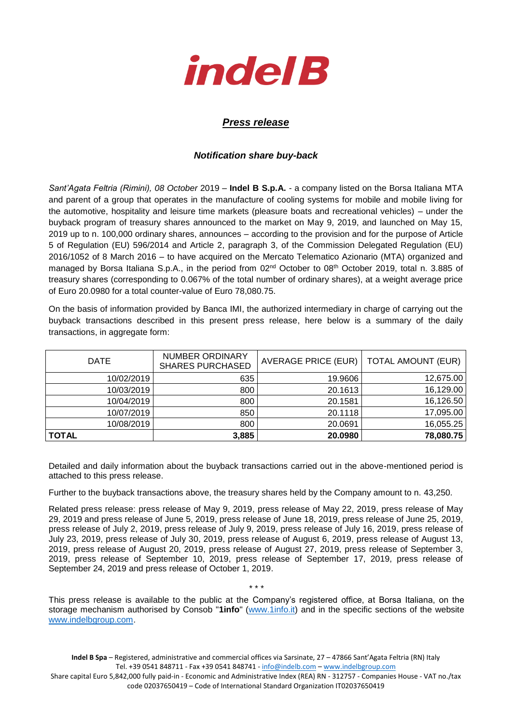

## *Press release*

## *Notification share buy-back*

*Sant'Agata Feltria (Rimini), 08 October* 2019 – **Indel B S.p.A.** - a company listed on the Borsa Italiana MTA and parent of a group that operates in the manufacture of cooling systems for mobile and mobile living for the automotive, hospitality and leisure time markets (pleasure boats and recreational vehicles) – under the buyback program of treasury shares announced to the market on May 9, 2019, and launched on May 15, 2019 up to n. 100,000 ordinary shares, announces – according to the provision and for the purpose of Article 5 of Regulation (EU) 596/2014 and Article 2, paragraph 3, of the Commission Delegated Regulation (EU) 2016/1052 of 8 March 2016 – to have acquired on the Mercato Telematico Azionario (MTA) organized and managed by Borsa Italiana S.p.A., in the period from 02<sup>nd</sup> October to 08<sup>th</sup> October 2019, total n. 3.885 of treasury shares (corresponding to 0.067% of the total number of ordinary shares), at a weight average price of Euro 20.0980 for a total counter-value of Euro 78,080.75.

On the basis of information provided by Banca IMI, the authorized intermediary in charge of carrying out the buyback transactions described in this present press release, here below is a summary of the daily transactions, in aggregate form:

| <b>DATE</b> | NUMBER ORDINARY<br><b>SHARES PURCHASED</b> | AVERAGE PRICE (EUR)   TOTAL AMOUNT (EUR) |           |
|-------------|--------------------------------------------|------------------------------------------|-----------|
| 10/02/2019  | 635                                        | 19.9606                                  | 12,675.00 |
| 10/03/2019  | 800                                        | 20.1613                                  | 16,129.00 |
| 10/04/2019  | 800                                        | 20.1581                                  | 16,126.50 |
| 10/07/2019  | 850                                        | 20.1118                                  | 17,095.00 |
| 10/08/2019  | 800                                        | 20.0691                                  | 16,055.25 |
| TOTAL       | 3,885                                      | 20.0980                                  | 78,080.75 |

Detailed and daily information about the buyback transactions carried out in the above-mentioned period is attached to this press release.

Further to the buyback transactions above, the treasury shares held by the Company amount to n. 43,250.

Related press release: press release of May 9, 2019, press release of May 22, 2019, press release of May 29, 2019 and press release of June 5, 2019, press release of June 18, 2019, press release of June 25, 2019, press release of July 2, 2019, press release of July 9, 2019, press release of July 16, 2019, press release of July 23, 2019, press release of July 30, 2019, press release of August 6, 2019, press release of August 13, 2019, press release of August 20, 2019, press release of August 27, 2019, press release of September 3, 2019, press release of September 10, 2019, press release of September 17, 2019, press release of September 24, 2019 and press release of October 1, 2019.

This press release is available to the public at the Company's registered office, at Borsa Italiana, on the storage mechanism authorised by Consob "**1info**" [\(www.1info.it\)](file:///C:/Users/ddelietovollaro/AppData/Local/Microsoft/Windows/INetCache/Content.Outlook/T87B94UR/www.1info.it) and in the specific sections of the website [www.indelbgroup.com.](http://www.indelbgroup.com/)

\* \* \*

**Indel B Spa** – Registered, administrative and commercial offices via Sarsinate, 27 – 47866 Sant'Agata Feltria (RN) Italy Tel. +39 0541 848711 - Fax +39 0541 848741 - [info@indelb.com](mailto:info@indelb.com) – [www.indelbgroup.com](http://www.indelbgroup.com/)

Share capital Euro 5,842,000 fully paid-in - Economic and Administrative Index (REA) RN - 312757 - Companies House - VAT no./tax code 02037650419 – Code of International Standard Organization IT02037650419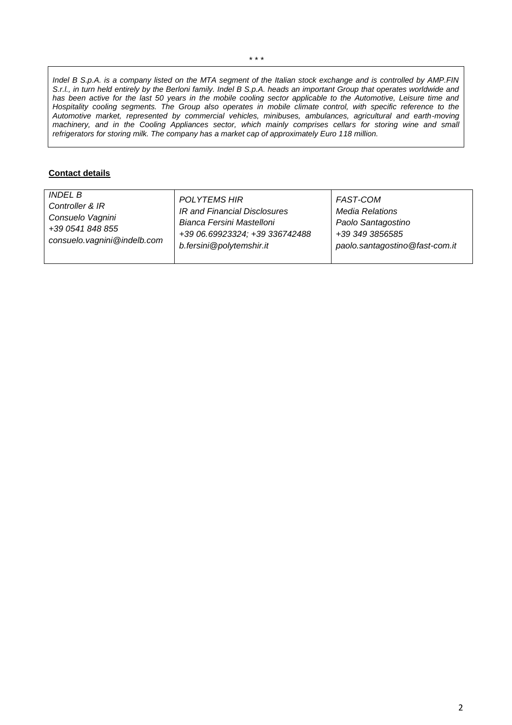*Indel B S.p.A. is a company listed on the MTA segment of the Italian stock exchange and is controlled by AMP.FIN S.r.l., in turn held entirely by the Berloni family. Indel B S.p.A. heads an important Group that operates worldwide and has been active for the last 50 years in the mobile cooling sector applicable to the Automotive, Leisure time and Hospitality cooling segments. The Group also operates in mobile climate control, with specific reference to the Automotive market, represented by commercial vehicles, minibuses, ambulances, agricultural and earth-moving machinery, and in the Cooling Appliances sector, which mainly comprises cellars for storing wine and small refrigerators for storing milk. The company has a market cap of approximately Euro 118 million.* 

## **Contact details**

| INDEL B                       | <b>POLYTEMS HIR</b>            | FAST-COM                       |
|-------------------------------|--------------------------------|--------------------------------|
| Controller & IR               | IR and Financial Disclosures   | <b>Media Relations</b>         |
| Consuelo Vagnini              | Bianca Fersini Mastelloni      | Paolo Santagostino             |
| +39 0541 848 855              | +39 06.69923324; +39 336742488 | +39 349 3856585                |
| consuelo. vagnini @indelb.com | b.fersini@polytemshir.it       | paolo.santagostino@fast-com.it |